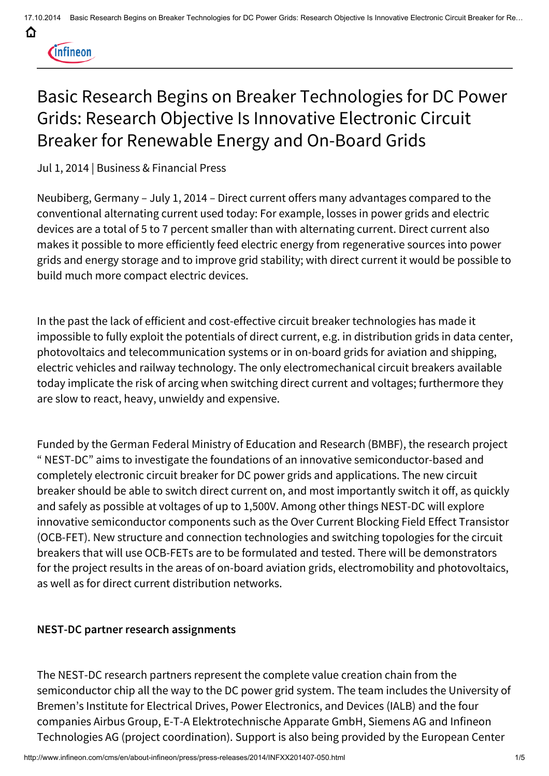**Cinfineon** 

# Basic Research Begins on Breaker Technologies for DC Power Grids: Research Objective Is Innovative Electronic Circuit Breaker for Renewable Energy and On-Board Grids

Jul 1, 2014 | Business & Financial Press

Neubiberg, Germany – July 1, 2014 – Direct current offers many advantages compared to the conventional alternating current used today: For example, losses in power grids and electric devices are a total of 5 to 7 percent smaller than with alternating current. Direct current also makes it possible to more efficiently feed electric energy from regenerative sources into power grids and energy storage and to improve grid stability; with direct current it would be possible to build much more compact electric devices.

In the past the lack of efficient and cost-effective circuit breaker technologies has made it impossible to fully exploit the potentials of direct current, e.g. in distribution grids in data center, photovoltaics and telecommunication systems or in on-board grids for aviation and shipping, electric vehicles and railway technology. The only electromechanical circuit breakers available today implicate the risk of arcing when switching direct current and voltages; furthermore they are slow to react, heavy, unwieldy and expensive.

Funded by the German Federal Ministry of Education and Research (BMBF), the research project " NEST-DC" aims to investigate the foundations of an innovative semiconductor-based and completely electronic circuit breaker for DC power grids and applications. The new circuit breaker should be able to switch direct current on, and most importantly switch it off, as quickly and safely as possible at voltages of up to 1,500V. Among other things NEST-DC will explore innovative semiconductor components such as the Over Current Blocking Field Effect Transistor (OCB-FET). New structure and connection technologies and switching topologies for the circuit breakers that will use OCB-FETs are to be formulated and tested. There will be demonstrators for the project results in the areas of on-board aviation grids, electromobility and photovoltaics, as well as for direct current distribution networks.

#### NEST-DC partner research assignments

The NEST-DC research partners represent the complete value creation chain from the semiconductor chip all the way to the DC power grid system. The team includes the University of Bremen's Institute for Electrical Drives, Power Electronics, and Devices (IALB) and the four companies Airbus Group, E-T-A Elektrotechnische Apparate GmbH, Siemens AG and Infineon Technologies AG (project coordination). Support is also being provided by the European Center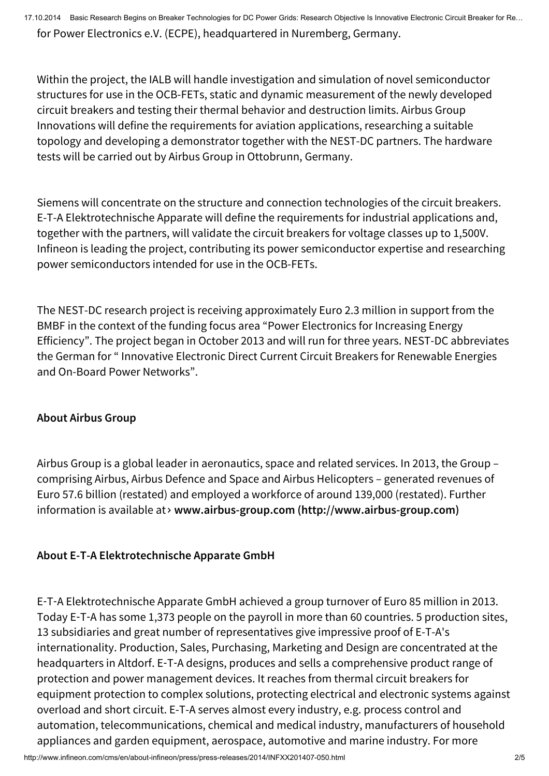17.10.2014 Basic Research Begins on Breaker Technologies for DC Power Grids: Research Objective Is Innovative Electronic Circuit Breaker for Re… for Power Electronics e.V. (ECPE), headquartered in Nuremberg, Germany.

Within the project, the IALB will handle investigation and simulation of novel semiconductor structures for use in the OCB-FETs, static and dynamic measurement of the newly developed circuit breakers and testing their thermal behavior and destruction limits. Airbus Group Innovations will define the requirements for aviation applications, researching a suitable topology and developing a demonstrator together with the NEST-DC partners. The hardware tests will be carried out by Airbus Group in Ottobrunn, Germany.

Siemens will concentrate on the structure and connection technologies of the circuit breakers. E-T-A Elektrotechnische Apparate will define the requirements for industrial applications and, together with the partners, will validate the circuit breakers for voltage classes up to 1,500V. Infineon is leading the project, contributing its power semiconductor expertise and researching power semiconductors intended for use in the OCB-FETs.

The NEST-DC research project is receiving approximately Euro 2.3 million in support from the BMBF in the context of the funding focus area "Power Electronics for Increasing Energy Efficiency". The project began in October 2013 and will run for three years. NEST-DC abbreviates the German for " Innovative Electronic Direct Current Circuit Breakers for Renewable Energies and On-Board Power Networks".

#### About Airbus Group

Airbus Group is a global leader in aeronautics, space and related services. In 2013, the Group – comprising Airbus, Airbus Defence and Space and Airbus Helicopters – generated revenues of Euro 57.6 billion (restated) and employed a workforce of around 139,000 (restated). Further information is available at > www.airbus-group.com [\(http://www.airbus-group.com\)](http://www.airbus-group.com/)

#### About E-T-A Elektrotechnische Apparate GmbH

E‑T‑A Elektrotechnische Apparate GmbH achieved a group turnover of Euro 85 million in 2013. Today E‑T‑A has some 1,373 people on the payroll in more than 60 countries. 5 production sites, 13 subsidiaries and great number of representatives give impressive proof of E-T-A's internationality. Production, Sales, Purchasing, Marketing and Design are concentrated at the headquarters in Altdorf. E‑T‑A designs, produces and sells a comprehensive product range of protection and power management devices. It reaches from thermal circuit breakers for equipment protection to complex solutions, protecting electrical and electronic systems against overload and short circuit. E-T-A serves almost every industry, e.g. process control and automation, telecommunications, chemical and medical industry, manufacturers of household appliances and garden equipment, aerospace, automotive and marine industry. For more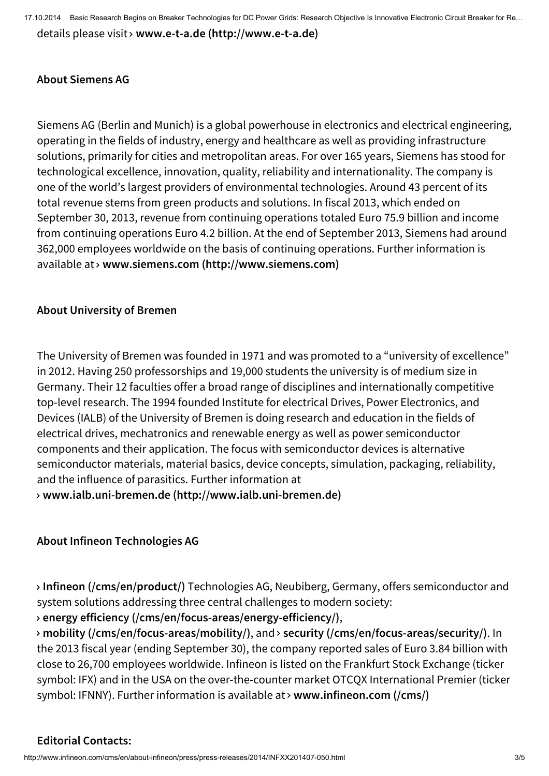17.10.2014 Basic Research Begins on Breaker Technologies for DC Power Grids: Research Objective Is Innovative Electronic Circuit Breaker for Re…

details please visit > www.e-t-a.de [\(http://www.e-t-a.de\)](http://www.e-t-a.de/)

#### About Siemens AG

Siemens AG (Berlin and Munich) is a global powerhouse in electronics and electrical engineering, operating in the fields of industry, energy and healthcare as well as providing infrastructure solutions, primarily for cities and metropolitan areas. For over 165 years, Siemens has stood for technological excellence, innovation, quality, reliability and internationality. The company is one of the world's largest providers of environmental technologies. Around 43 percent of its total revenue stems from green products and solutions. In fiscal 2013, which ended on September 30, 2013, revenue from continuing operations totaled Euro 75.9 billion and income from continuing operations Euro 4.2 billion. At the end of September 2013, Siemens had around 362,000 employees worldwide on the basis of continuing operations. Further information is available at www.siemens.com [\(http://www.siemens.com\)](http://www.siemens.com/)

#### About University of Bremen

The University of Bremen was founded in 1971 and was promoted to a "university of excellence" in 2012. Having 250 professorships and 19,000 students the university is of medium size in Germany. Their 12 faculties offer a broad range of disciplines and internationally competitive top-level research. The 1994 founded Institute for electrical Drives, Power Electronics, and Devices (IALB) of the University of Bremen is doing research and education in the fields of electrical drives, mechatronics and renewable energy as well as power semiconductor components and their application. The focus with semiconductor devices is alternative semiconductor materials, material basics, device concepts, simulation, packaging, reliability, and the influence of parasitics. Further information at

www.ialb.uni-bremen.de [\(http://www.ialb.uni-bremen.de\)](http://www.ialb.uni-bremen.de/)

#### About Infineon Technologies AG

> Infineon [\(/cms/en/product/\)](http://www.infineon.com/cms/en/product/) Technologies AG, Neubiberg, Germany, offers semiconductor and system solutions addressing three central challenges to modern society:

, energy efficiency [\(/cms/en/focus-areas/energy-efficiency/\)](http://www.infineon.com/cms/en/focus-areas/energy-efficiency/)

> mobility [\(/cms/en/focus-areas/mobility/\)](http://www.infineon.com/cms/en/focus-areas/mobility/), and > security [\(/cms/en/focus-areas/security/\)](http://www.infineon.com/cms/en/focus-areas/security/). In the 2013 fiscal year (ending September 30), the company reported sales of Euro 3.84 billion with close to 26,700 employees worldwide. Infineon is listed on the Frankfurt Stock Exchange (ticker symbol: IFX) and in the USA on the over-the-counter market OTCQX International Premier (ticker symbol: IFNNY). Further information is available at > [www.infineon.com](http://www.infineon.com/cms/) (/cms/)

#### Editorial Contacts: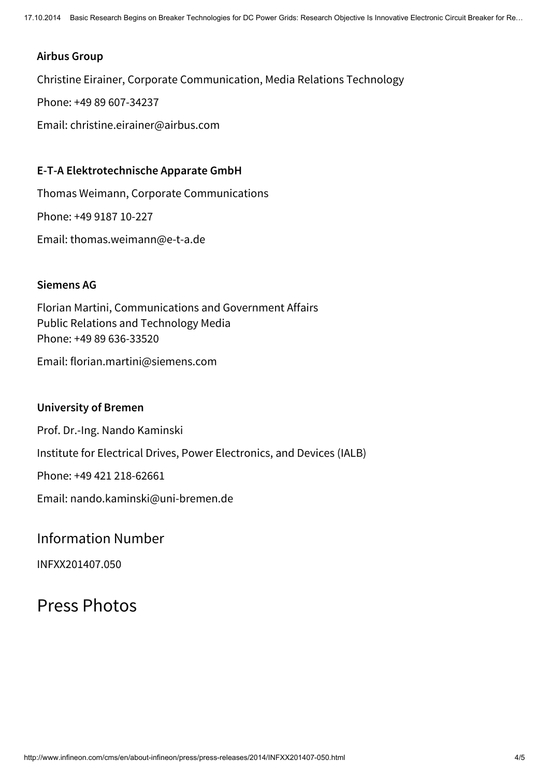#### Airbus Group

Christine Eirainer, Corporate Communication, Media Relations Technology Phone: +49 89 607-34237

Email: christine.eirainer@airbus.com

#### E-T-A Elektrotechnische Apparate GmbH

Thomas Weimann, Corporate Communications

Phone: +49 9187 10-227

Email: thomas.weimann@e-t-a.de

#### Siemens AG

Florian Martini, Communications and Government Affairs Public Relations and Technology Media Phone: +49 89 636-33520

Email: florian.martini@siemens.com

#### University of Bremen

Prof. Dr.-Ing. Nando Kaminski Institute for Electrical Drives, Power Electronics, and Devices (IALB) Phone: +49 421 218-62661 Email: nando.kaminski@uni-bremen.de

### Information Number

INFXX201407.050

## Press Photos